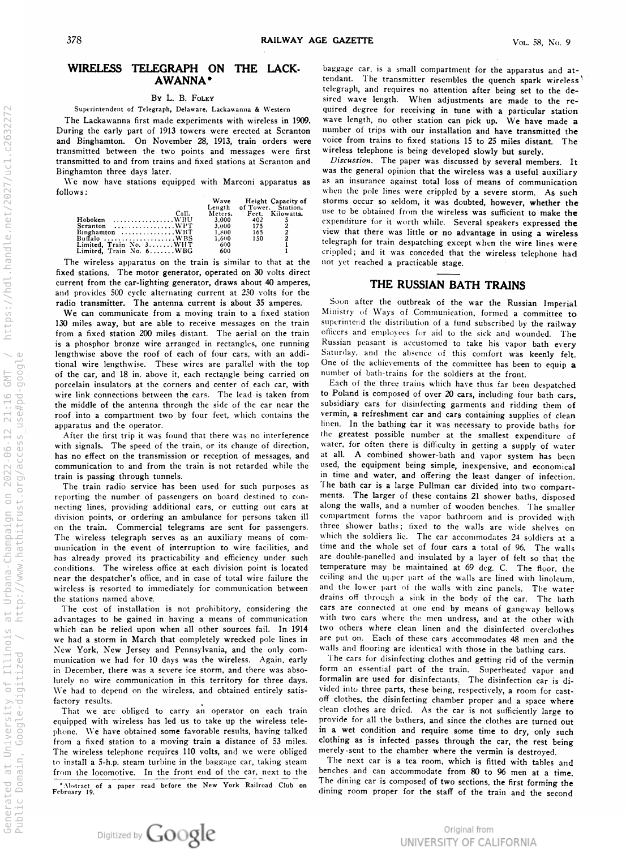#### WIRELESS TELEGRAPH ON THE LACK-AWANNA \*

#### By L. B. Foley

Superintendent of Telegraph, Delaware, Lackawanna & Westerr

I'm Lackawanna first made experiments with wireless in 1909. During the early part of 1913 towers were erected at Scranton and Binghamton. On November 28, 1915, train orders were transmitted between the two points and messages were first transmitted to and from trains and fixed stations at Scranton and Binghamton three days later.

We now have stations equipped with Marconi apparatus as follows :

|                                                                      | Wave    |     | Height Capacity of |
|----------------------------------------------------------------------|---------|-----|--------------------|
|                                                                      | Length  |     | of Tower. Station. |
| C <sub>all</sub>                                                     | Meters. |     | Feet. Kilowatts.   |
| Hoboken WBU                                                          | 3.000   | 402 |                    |
| $Scranton$ WPT                                                       | 3.000   | 175 |                    |
| $B$ inghamton WBT                                                    | 1,800   | 165 | $\overline{2}$     |
| Buffalo $\dots \dots \dots \dots \dots \dots \dots \dots \text{WBS}$ | 1.600   | 150 | $\overline{a}$     |
| Limited. Train No. 3WHT                                              | 600     |     |                    |
| Limited, Train No. 6WBG                                              | 600     |     |                    |
|                                                                      |         |     |                    |

The wireless apparatus on the train is similar to that at the fixed stations. The motor generator, operated on 30 volts direct current from the car-lighting generator, draws about  $40$  amperes, and provides 500 cycle alternating current at 250 volts for the radio transmitter. The antenna current is about 35 amperes.

We can communicate from a moving train to a fixed station 130 miles away, but are able to receive messages on the train from a fixed station 200 miles distant. The aerial on the train is aphosphor bronze wire arranged in rectangles , one running lengthwise above the roof of each of four cars, with an additional wire lengthwise. These wires are parallel with the top of the car, and 18 in. above it, each rectangle being carried on porcelain insulators at the corners and center of each car, with wire link connections between the cars. The lead is taken from the middle of the antenna through the side of the car near the roof into a compartment two by four feet, which contai<mark>ns</mark> the apparatus and the operator.

After the first trip it was found that there was no interference with signals. The speed of the train, or its change of direction, has no effect on the transmission or reception of messages, and communication to and from the train is not retarded while the train is passing through tunnels.

The train radio service has been used for such purposes as reporting the number of passengers on board destined to connecting lines, providing additional cars, or cutting out cars at division points, or ordering an ambulance for persons taken ill n the train. Commercial telegrams are sent for passengers. The wireless telegraph serves as an auxiliary means of communication in the event of interruption to wire facilities, and has already proved its practicability and emclency under such conditions . The wireless office at each division point is located near the despatcher's office, and in case of total wire failure the wireless is resorted to immediately for communication betwee the stations named above.

The cost of installation is not prohibitory, considering the advantages to be gained in having <sup>a</sup> means of communication which can be relied upon when all other sources fail . In 1914 we had <sup>a</sup> storm in March that completely wrecked pole lines in New York, New Jersey and Pennsylvania, and the only communication we had for 10 days was the wireless . Again , early in December, there was a severe ice storm, and there was absolutely no wire communication in this territory for three days.<br>... We had to depend on the wireless, and obtained entirely satisfactory results.

That we are obliged to carry an operator on each train equipped with wireless has led us to take up the wireless telephone. We have obtained some favorable results, having talked from a fixed station to a moving train a distance of 53 miles. The wireless telephone requires 110 volts, and we were obliged  $\sigma$  install a 5-h.p. steam turbine in the baggage car, taking stean from the locomotive. In the front end of the car, next to the

Abstract of <sup>a</sup> February 19. paper read before the New York Railroad Club on

baggage car, is a small compartment for the apparatus and at tendant. The transmitter resembles the quench spark wireless telegraph, and requires no attention after being set to the desired wave length. When adjustments are made to the required degree for receiving in tune with a particular station wave length, no other station can pick up. We have made a number of trips with our installation and have transmitted the voice from trains to fixed stations 15 to 25 miles distant. The wireless telephone is being developed slowly but surely.

Discussion. The paper was discussed by several members. It was the general opinion that the wireless was <sup>a</sup> useful auxiliary s an insurance against total loss of means of communication when the pole lines were crippled by a severe storm. As storms occur so seldom, it was doubted, however, whether the use to be obtained from the wireless was sufficient to make the expenditure for it worth while. Several speakers expressed the view that there was little or no advantage in using a wireles telegraph for train despatching except when the englished; and it was conceded that the wireless telephone had not yet reached a practicable stage.

## THE RUSSIAN BATH TRAINS

Soon after the outbreak of the war the Russian Imperia Ministry of Ways of Communication , formed <sup>a</sup> committee to superintend the distribution of a fund subscribed by the railway officers and employees for aid to the sick and wounded. The Russian peasant is accustomed to take his vapor bath every Saturday, and the absence of this comfort was keenly felt. One of the achievements of the committee has been to equip **a** number of bath-trains for the soldiers at the front.

Each of the three trains which have thus far been despatched to Poland is composed of over 20 cars, including four bath cars, subsidiary cars for disinfecting garments and ridding them of vermin, a refreshment car and cars containing supplies of Forming a containming care is containing supplies of clean<br>linen. In the bathing car it was necessary to provide baths for the greatest possible number at the smallest expenditure of water, for often there is difficulty in getting a supply of water at all . A combined shower -bath and vapor system has been used, the equipment being simple, inexpensive, and economical n time and water, and offering the least danger of infection. The bath car is a large Pullman car divided into two compart ments. The larger of these contains 21 shower baths, disposed along the walls, and a number of wooden benches. The smalle compartment forms the vapor bathroom and is provided with three shower baths; lixed to the walls are wide shelves on which the soldiers lie. The car accommodates 24 soldiers at a time and the whole set of four cars a total of 96. The wall are double-panelled and insulated by a layer of felt so that the temperature may be maintained at 69 deg. C. The floor, the ceiling and the upper part of the walls are lined with linoleum , and the lower part of the walls with zinc panels. The water drains off through <sup>a</sup> sink in the body of the car . The bath cars are connected at one end by means of gangway hellows with two cars where the men undress, and at the other with two others where clean linen and the disinfected overclothes are put on. Each of these cars accommodates 48 men and the walls and flooring are identical with those in the bathing cars.

The cars for disinfecting clothes and getting rid of form an essential part of the train. Superheated vapor and formalin are used for disinfectants. The disinfection car is divided into three parts, these being, respectively, Figure 1 and the cast off clothes, the disinfecting chamber proper and a space where clean clothes are dried. As the car is not sufficiently large to provide for all the bathers , and since the clothes are turned out in a wet condition and require some time to dry , only such clothing as is infected passes through the car, the rest being merely sent to the chamber where the vermin is destroyed.

The next car is a tea room, which is fitted with tables and benches and can accommodate from 80 to 96 men at a time. The dining car is composed of two sections , the first forming the dining room proper for the staff of the train and the second